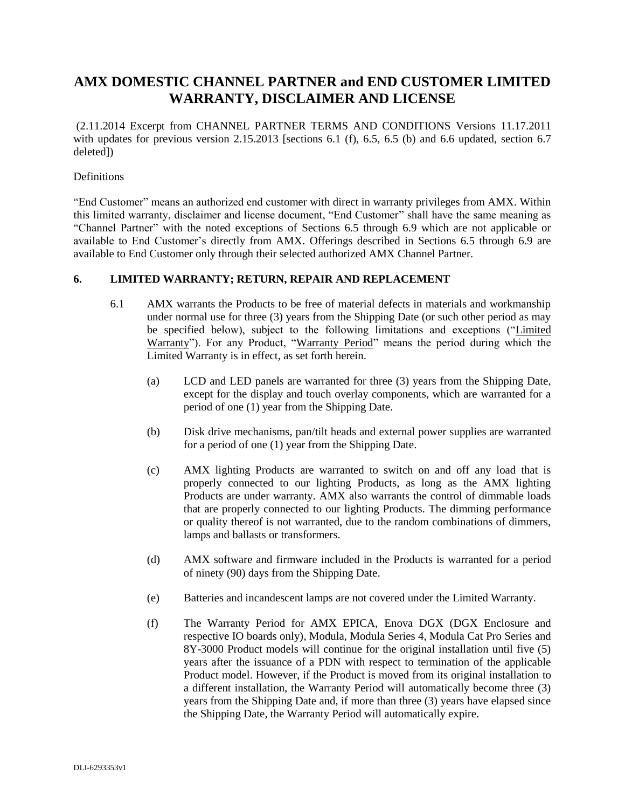## **AMX DOMESTIC CHANNEL PARTNER and END CUSTOMER LIMITED WARRANTY, DISCLAIMER AND LICENSE**

(2.11.2014 Excerpt from CHANNEL PARTNER TERMS AND CONDITIONS Versions 11.17.2011 with updates for previous version 2.15.2013 [sections 6.1 (f), 6.5, 6.5 (b) and 6.6 updated, section 6.7 deleted])

## **Definitions**

"End Customer" means an authorized end customer with direct in warranty privileges from AMX. Within this limited warranty, disclaimer and license document, "End Customer" shall have the same meaning as "Channel Partner" with the noted exceptions of Sections 6.5 through 6.9 which are not applicable or available to End Customer's directly from AMX. Offerings described in Sections 6.5 through 6.9 are available to End Customer only through their selected authorized AMX Channel Partner.

## **6. LIMITED WARRANTY; RETURN, REPAIR AND REPLACEMENT**

- 6.1 AMX warrants the Products to be free of material defects in materials and workmanship under normal use for three (3) years from the Shipping Date (or such other period as may be specified below), subject to the following limitations and exceptions ("Limited Warranty"). For any Product, "Warranty Period" means the period during which the Limited Warranty is in effect, as set forth herein.
	- (a) LCD and LED panels are warranted for three (3) years from the Shipping Date, except for the display and touch overlay components, which are warranted for a period of one (1) year from the Shipping Date.
	- (b) Disk drive mechanisms, pan/tilt heads and external power supplies are warranted for a period of one (1) year from the Shipping Date.
	- (c) AMX lighting Products are warranted to switch on and off any load that is properly connected to our lighting Products, as long as the AMX lighting Products are under warranty. AMX also warrants the control of dimmable loads that are properly connected to our lighting Products. The dimming performance or quality thereof is not warranted, due to the random combinations of dimmers, lamps and ballasts or transformers.
	- (d) AMX software and firmware included in the Products is warranted for a period of ninety (90) days from the Shipping Date.
	- (e) Batteries and incandescent lamps are not covered under the Limited Warranty.
	- (f) The Warranty Period for AMX EPICA, Enova DGX (DGX Enclosure and respective IO boards only), Modula, Modula Series 4, Modula Cat Pro Series and 8Y-3000 Product models will continue for the original installation until five (5) years after the issuance of a PDN with respect to termination of the applicable Product model. However, if the Product is moved from its original installation to a different installation, the Warranty Period will automatically become three (3) years from the Shipping Date and, if more than three (3) years have elapsed since the Shipping Date, the Warranty Period will automatically expire.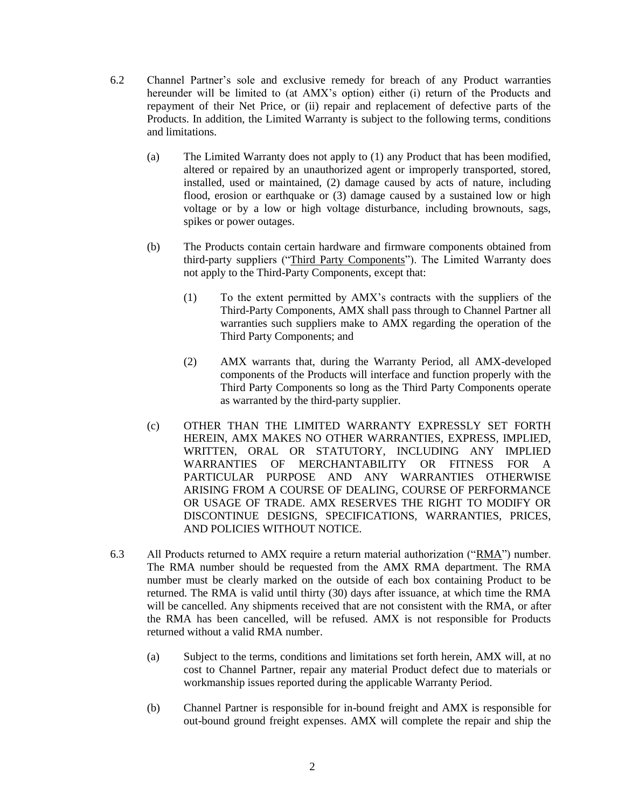- 6.2 Channel Partner's sole and exclusive remedy for breach of any Product warranties hereunder will be limited to (at AMX's option) either (i) return of the Products and repayment of their Net Price, or (ii) repair and replacement of defective parts of the Products. In addition, the Limited Warranty is subject to the following terms, conditions and limitations.
	- (a) The Limited Warranty does not apply to (1) any Product that has been modified, altered or repaired by an unauthorized agent or improperly transported, stored, installed, used or maintained, (2) damage caused by acts of nature, including flood, erosion or earthquake or (3) damage caused by a sustained low or high voltage or by a low or high voltage disturbance, including brownouts, sags, spikes or power outages.
	- (b) The Products contain certain hardware and firmware components obtained from third-party suppliers ("Third Party Components"). The Limited Warranty does not apply to the Third-Party Components, except that:
		- (1) To the extent permitted by AMX's contracts with the suppliers of the Third-Party Components, AMX shall pass through to Channel Partner all warranties such suppliers make to AMX regarding the operation of the Third Party Components; and
		- (2) AMX warrants that, during the Warranty Period, all AMX-developed components of the Products will interface and function properly with the Third Party Components so long as the Third Party Components operate as warranted by the third-party supplier.
	- (c) OTHER THAN THE LIMITED WARRANTY EXPRESSLY SET FORTH HEREIN, AMX MAKES NO OTHER WARRANTIES, EXPRESS, IMPLIED, WRITTEN, ORAL OR STATUTORY, INCLUDING ANY IMPLIED WARRANTIES OF MERCHANTABILITY OR FITNESS FOR A PARTICULAR PURPOSE AND ANY WARRANTIES OTHERWISE ARISING FROM A COURSE OF DEALING, COURSE OF PERFORMANCE OR USAGE OF TRADE. AMX RESERVES THE RIGHT TO MODIFY OR DISCONTINUE DESIGNS, SPECIFICATIONS, WARRANTIES, PRICES, AND POLICIES WITHOUT NOTICE.
- 6.3 All Products returned to AMX require a return material authorization (" $RMA$ ") number. The RMA number should be requested from the AMX RMA department. The RMA number must be clearly marked on the outside of each box containing Product to be returned. The RMA is valid until thirty (30) days after issuance, at which time the RMA will be cancelled. Any shipments received that are not consistent with the RMA, or after the RMA has been cancelled, will be refused. AMX is not responsible for Products returned without a valid RMA number.
	- (a) Subject to the terms, conditions and limitations set forth herein, AMX will, at no cost to Channel Partner, repair any material Product defect due to materials or workmanship issues reported during the applicable Warranty Period.
	- (b) Channel Partner is responsible for in-bound freight and AMX is responsible for out-bound ground freight expenses. AMX will complete the repair and ship the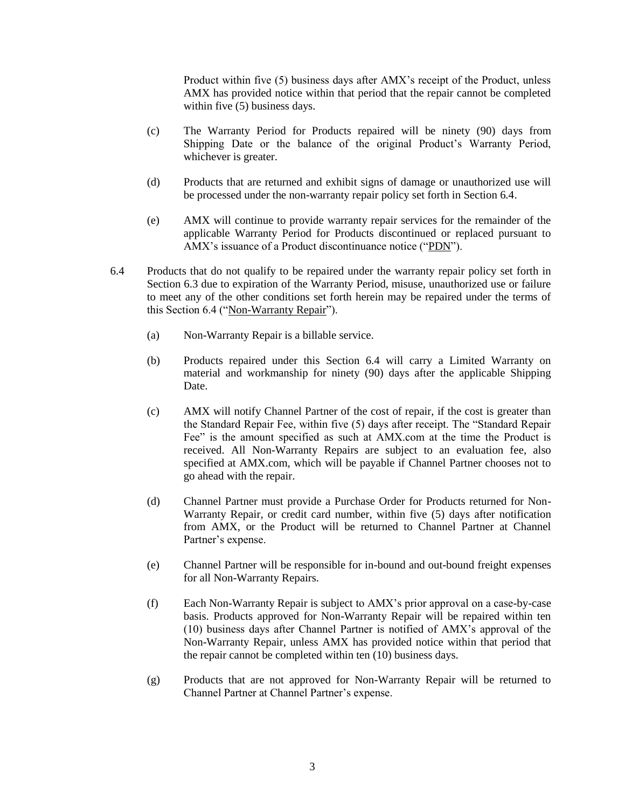Product within five (5) business days after AMX's receipt of the Product, unless AMX has provided notice within that period that the repair cannot be completed within five (5) business days.

- (c) The Warranty Period for Products repaired will be ninety (90) days from Shipping Date or the balance of the original Product's Warranty Period, whichever is greater.
- (d) Products that are returned and exhibit signs of damage or unauthorized use will be processed under the non-warranty repair policy set forth in Section 6.4.
- (e) AMX will continue to provide warranty repair services for the remainder of the applicable Warranty Period for Products discontinued or replaced pursuant to AMX's issuance of a Product discontinuance notice ("PDN").
- 6.4 Products that do not qualify to be repaired under the warranty repair policy set forth in Section 6.3 due to expiration of the Warranty Period, misuse, unauthorized use or failure to meet any of the other conditions set forth herein may be repaired under the terms of this Section 6.4 ("Non-Warranty Repair").
	- (a) Non-Warranty Repair is a billable service.
	- (b) Products repaired under this Section 6.4 will carry a Limited Warranty on material and workmanship for ninety (90) days after the applicable Shipping Date.
	- (c) AMX will notify Channel Partner of the cost of repair, if the cost is greater than the Standard Repair Fee, within five (5) days after receipt. The "Standard Repair Fee" is the amount specified as such at AMX.com at the time the Product is received. All Non-Warranty Repairs are subject to an evaluation fee, also specified at AMX.com, which will be payable if Channel Partner chooses not to go ahead with the repair.
	- (d) Channel Partner must provide a Purchase Order for Products returned for Non-Warranty Repair, or credit card number, within five (5) days after notification from AMX, or the Product will be returned to Channel Partner at Channel Partner's expense.
	- (e) Channel Partner will be responsible for in-bound and out-bound freight expenses for all Non-Warranty Repairs.
	- (f) Each Non-Warranty Repair is subject to AMX's prior approval on a case-by-case basis. Products approved for Non-Warranty Repair will be repaired within ten (10) business days after Channel Partner is notified of AMX's approval of the Non-Warranty Repair, unless AMX has provided notice within that period that the repair cannot be completed within ten (10) business days.
	- (g) Products that are not approved for Non-Warranty Repair will be returned to Channel Partner at Channel Partner's expense.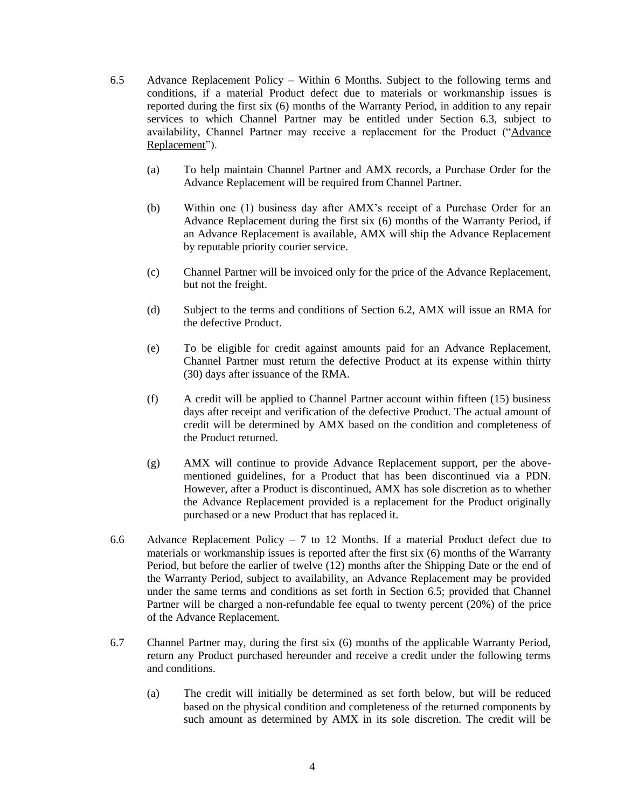- 6.5 Advance Replacement Policy Within 6 Months. Subject to the following terms and conditions, if a material Product defect due to materials or workmanship issues is reported during the first six (6) months of the Warranty Period, in addition to any repair services to which Channel Partner may be entitled under Section 6.3, subject to availability, Channel Partner may receive a replacement for the Product ("Advance Replacement").
	- (a) To help maintain Channel Partner and AMX records, a Purchase Order for the Advance Replacement will be required from Channel Partner.
	- (b) Within one (1) business day after AMX's receipt of a Purchase Order for an Advance Replacement during the first six (6) months of the Warranty Period, if an Advance Replacement is available, AMX will ship the Advance Replacement by reputable priority courier service.
	- (c) Channel Partner will be invoiced only for the price of the Advance Replacement, but not the freight.
	- (d) Subject to the terms and conditions of Section 6.2, AMX will issue an RMA for the defective Product.
	- (e) To be eligible for credit against amounts paid for an Advance Replacement, Channel Partner must return the defective Product at its expense within thirty (30) days after issuance of the RMA.
	- (f) A credit will be applied to Channel Partner account within fifteen (15) business days after receipt and verification of the defective Product. The actual amount of credit will be determined by AMX based on the condition and completeness of the Product returned.
	- (g) AMX will continue to provide Advance Replacement support, per the abovementioned guidelines, for a Product that has been discontinued via a PDN. However, after a Product is discontinued, AMX has sole discretion as to whether the Advance Replacement provided is a replacement for the Product originally purchased or a new Product that has replaced it.
- 6.6 Advance Replacement Policy  $-7$  to 12 Months. If a material Product defect due to materials or workmanship issues is reported after the first six (6) months of the Warranty Period, but before the earlier of twelve (12) months after the Shipping Date or the end of the Warranty Period, subject to availability, an Advance Replacement may be provided under the same terms and conditions as set forth in Section 6.5; provided that Channel Partner will be charged a non-refundable fee equal to twenty percent (20%) of the price of the Advance Replacement.
- 6.7 Channel Partner may, during the first six (6) months of the applicable Warranty Period, return any Product purchased hereunder and receive a credit under the following terms and conditions.
	- (a) The credit will initially be determined as set forth below, but will be reduced based on the physical condition and completeness of the returned components by such amount as determined by AMX in its sole discretion. The credit will be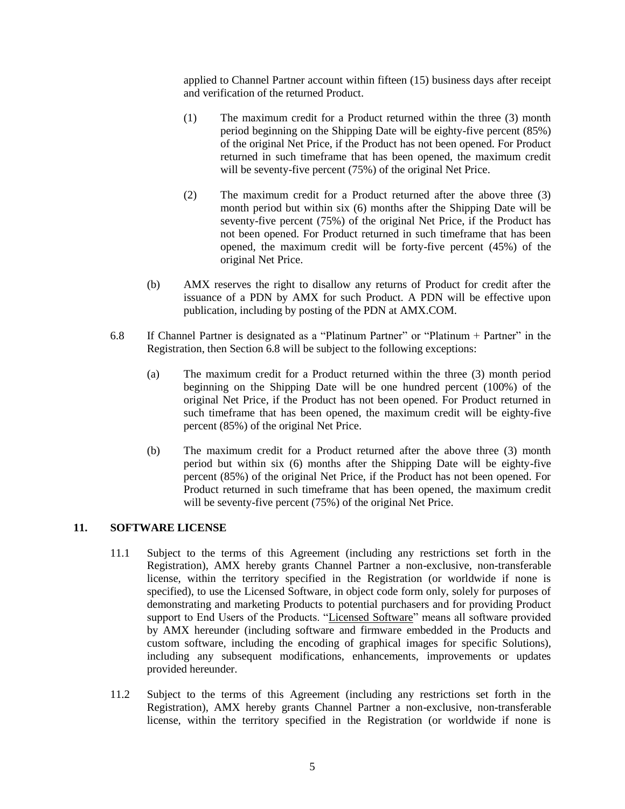applied to Channel Partner account within fifteen (15) business days after receipt and verification of the returned Product.

- (1) The maximum credit for a Product returned within the three (3) month period beginning on the Shipping Date will be eighty-five percent (85%) of the original Net Price, if the Product has not been opened. For Product returned in such timeframe that has been opened, the maximum credit will be seventy-five percent (75%) of the original Net Price.
- (2) The maximum credit for a Product returned after the above three (3) month period but within six (6) months after the Shipping Date will be seventy-five percent (75%) of the original Net Price, if the Product has not been opened. For Product returned in such timeframe that has been opened, the maximum credit will be forty-five percent (45%) of the original Net Price.
- (b) AMX reserves the right to disallow any returns of Product for credit after the issuance of a PDN by AMX for such Product. A PDN will be effective upon publication, including by posting of the PDN at AMX.COM.
- 6.8 If Channel Partner is designated as a "Platinum Partner" or "Platinum + Partner" in the Registration, then Section 6.8 will be subject to the following exceptions:
	- (a) The maximum credit for a Product returned within the three (3) month period beginning on the Shipping Date will be one hundred percent (100%) of the original Net Price, if the Product has not been opened. For Product returned in such timeframe that has been opened, the maximum credit will be eighty-five percent (85%) of the original Net Price.
	- (b) The maximum credit for a Product returned after the above three (3) month period but within six (6) months after the Shipping Date will be eighty-five percent (85%) of the original Net Price, if the Product has not been opened. For Product returned in such timeframe that has been opened, the maximum credit will be seventy-five percent (75%) of the original Net Price.

## **11. SOFTWARE LICENSE**

- 11.1 Subject to the terms of this Agreement (including any restrictions set forth in the Registration), AMX hereby grants Channel Partner a non-exclusive, non-transferable license, within the territory specified in the Registration (or worldwide if none is specified), to use the Licensed Software, in object code form only, solely for purposes of demonstrating and marketing Products to potential purchasers and for providing Product support to End Users of the Products. "Licensed Software" means all software provided by AMX hereunder (including software and firmware embedded in the Products and custom software, including the encoding of graphical images for specific Solutions), including any subsequent modifications, enhancements, improvements or updates provided hereunder.
- 11.2 Subject to the terms of this Agreement (including any restrictions set forth in the Registration), AMX hereby grants Channel Partner a non-exclusive, non-transferable license, within the territory specified in the Registration (or worldwide if none is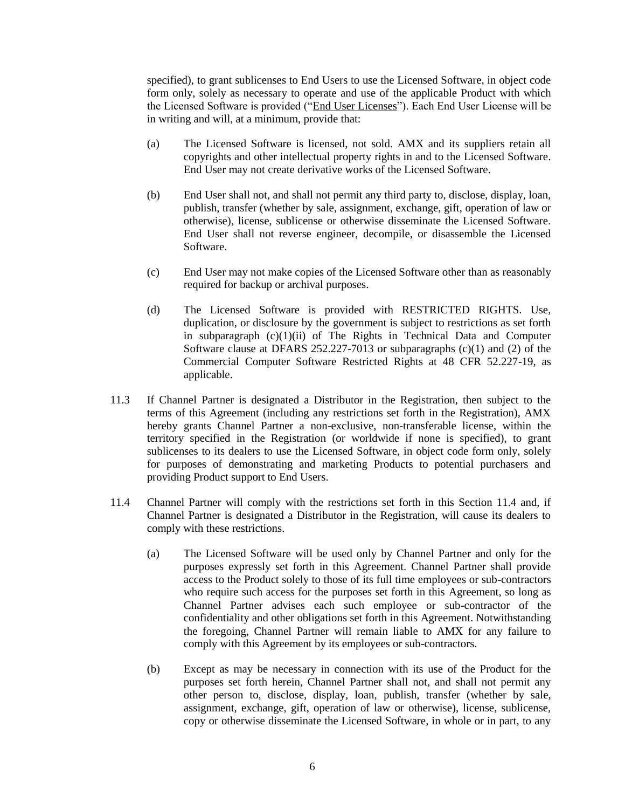specified), to grant sublicenses to End Users to use the Licensed Software, in object code form only, solely as necessary to operate and use of the applicable Product with which the Licensed Software is provided ("End User Licenses"). Each End User License will be in writing and will, at a minimum, provide that:

- (a) The Licensed Software is licensed, not sold. AMX and its suppliers retain all copyrights and other intellectual property rights in and to the Licensed Software. End User may not create derivative works of the Licensed Software.
- (b) End User shall not, and shall not permit any third party to, disclose, display, loan, publish, transfer (whether by sale, assignment, exchange, gift, operation of law or otherwise), license, sublicense or otherwise disseminate the Licensed Software. End User shall not reverse engineer, decompile, or disassemble the Licensed Software.
- (c) End User may not make copies of the Licensed Software other than as reasonably required for backup or archival purposes.
- (d) The Licensed Software is provided with RESTRICTED RIGHTS. Use, duplication, or disclosure by the government is subject to restrictions as set forth in subparagraph  $(c)(1)(ii)$  of The Rights in Technical Data and Computer Software clause at DFARS 252.227-7013 or subparagraphs (c)(1) and (2) of the Commercial Computer Software Restricted Rights at 48 CFR 52.227-19, as applicable.
- 11.3 If Channel Partner is designated a Distributor in the Registration, then subject to the terms of this Agreement (including any restrictions set forth in the Registration), AMX hereby grants Channel Partner a non-exclusive, non-transferable license, within the territory specified in the Registration (or worldwide if none is specified), to grant sublicenses to its dealers to use the Licensed Software, in object code form only, solely for purposes of demonstrating and marketing Products to potential purchasers and providing Product support to End Users.
- 11.4 Channel Partner will comply with the restrictions set forth in this Section 11.4 and, if Channel Partner is designated a Distributor in the Registration, will cause its dealers to comply with these restrictions.
	- (a) The Licensed Software will be used only by Channel Partner and only for the purposes expressly set forth in this Agreement. Channel Partner shall provide access to the Product solely to those of its full time employees or sub-contractors who require such access for the purposes set forth in this Agreement, so long as Channel Partner advises each such employee or sub-contractor of the confidentiality and other obligations set forth in this Agreement. Notwithstanding the foregoing, Channel Partner will remain liable to AMX for any failure to comply with this Agreement by its employees or sub-contractors.
	- (b) Except as may be necessary in connection with its use of the Product for the purposes set forth herein, Channel Partner shall not, and shall not permit any other person to, disclose, display, loan, publish, transfer (whether by sale, assignment, exchange, gift, operation of law or otherwise), license, sublicense, copy or otherwise disseminate the Licensed Software, in whole or in part, to any